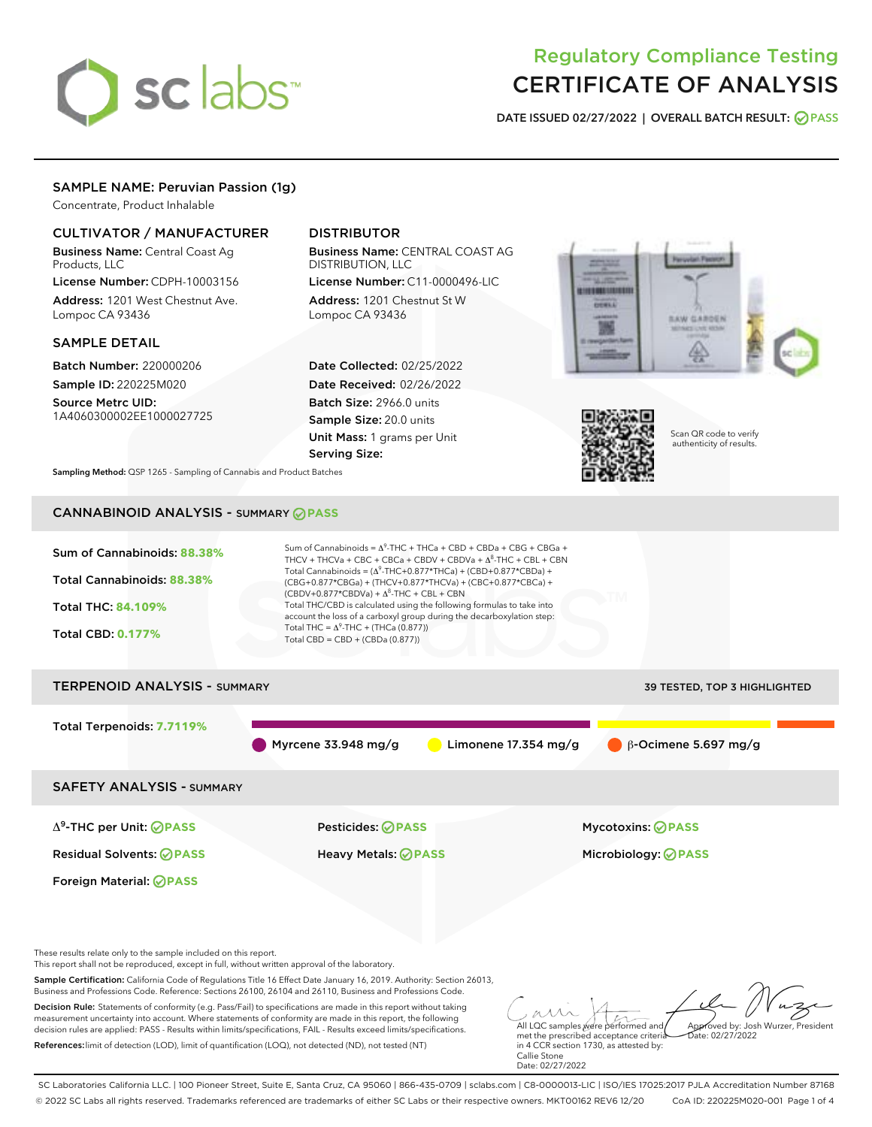# sclabs<sup>\*</sup>

## Regulatory Compliance Testing CERTIFICATE OF ANALYSIS

DATE ISSUED 02/27/2022 | OVERALL BATCH RESULT: @ PASS

#### SAMPLE NAME: Peruvian Passion (1g)

Concentrate, Product Inhalable

#### CULTIVATOR / MANUFACTURER

Business Name: Central Coast Ag Products, LLC License Number: CDPH-10003156

Address: 1201 West Chestnut Ave. Lompoc CA 93436

#### SAMPLE DETAIL

Batch Number: 220000206 Sample ID: 220225M020

Source Metrc UID: 1A4060300002EE1000027725

#### DISTRIBUTOR

Business Name: CENTRAL COAST AG DISTRIBUTION, LLC

License Number: C11-0000496-LIC Address: 1201 Chestnut St W Lompoc CA 93436

Date Collected: 02/25/2022 Date Received: 02/26/2022 Batch Size: 2966.0 units Sample Size: 20.0 units Unit Mass: 1 grams per Unit Serving Size:





Scan QR code to verify authenticity of results.

Sampling Method: QSP 1265 - Sampling of Cannabis and Product Batches

### CANNABINOID ANALYSIS - SUMMARY **PASS**



SC Laboratories California LLC. | 100 Pioneer Street, Suite E, Santa Cruz, CA 95060 | 866-435-0709 | sclabs.com | C8-0000013-LIC | ISO/IES 17025:2017 PJLA Accreditation Number 87168 © 2022 SC Labs all rights reserved. Trademarks referenced are trademarks of either SC Labs or their respective owners. MKT00162 REV6 12/20 CoA ID: 220225M020-001 Page 1 of 4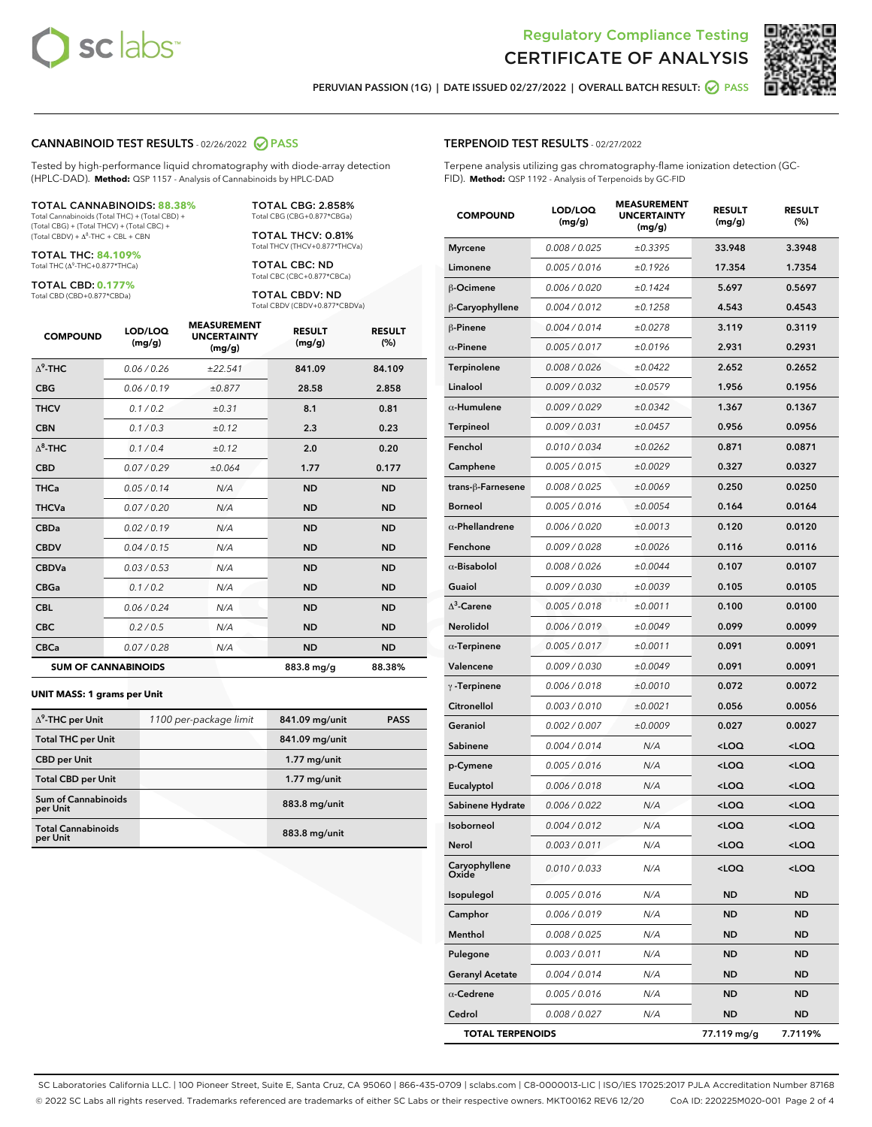



PERUVIAN PASSION (1G) | DATE ISSUED 02/27/2022 | OVERALL BATCH RESULT:  $\bigcirc$  PASS

#### CANNABINOID TEST RESULTS - 02/26/2022 2 PASS

Tested by high-performance liquid chromatography with diode-array detection (HPLC-DAD). **Method:** QSP 1157 - Analysis of Cannabinoids by HPLC-DAD

#### TOTAL CANNABINOIDS: **88.38%** Total Cannabinoids (Total THC) + (Total CBD) +

(Total CBG) + (Total THCV) + (Total CBC) +  $(Total$  CBDV) +  $\Delta$ <sup>8</sup>-THC + CBL + CBN

TOTAL THC: **84.109%** Total THC (Δ<sup>9</sup> -THC+0.877\*THCa)

TOTAL CBD: **0.177%**

Total CBD (CBD+0.877\*CBDa)

TOTAL CBG: 2.858% Total CBG (CBG+0.877\*CBGa)

TOTAL THCV: 0.81% Total THCV (THCV+0.877\*THCVa)

TOTAL CBC: ND Total CBC (CBC+0.877\*CBCa)

TOTAL CBDV: ND Total CBDV (CBDV+0.877\*CBDVa)

| <b>COMPOUND</b> | LOD/LOQ<br>(mg/g)          | <b>MEASUREMENT</b><br><b>UNCERTAINTY</b><br>(mg/g) | <b>RESULT</b><br>(mg/g) | <b>RESULT</b><br>(%) |
|-----------------|----------------------------|----------------------------------------------------|-------------------------|----------------------|
| $\Delta^9$ -THC | 0.06/0.26                  | ±22.541                                            | 841.09                  | 84.109               |
| <b>CBG</b>      | 0.06/0.19                  | ±0.877                                             | 28.58                   | 2.858                |
| <b>THCV</b>     | 0.1/0.2                    | ±0.31                                              | 8.1                     | 0.81                 |
| <b>CBN</b>      | 0.1/0.3                    | ±0.12                                              | 2.3                     | 0.23                 |
| $\Delta^8$ -THC | 0.1/0.4                    | ±0.12                                              | 2.0                     | 0.20                 |
| <b>CBD</b>      | 0.07/0.29                  | ±0.064                                             | 1.77                    | 0.177                |
| <b>THCa</b>     | 0.05/0.14                  | N/A                                                | <b>ND</b>               | <b>ND</b>            |
| <b>THCVa</b>    | 0.07/0.20                  | N/A                                                | <b>ND</b>               | <b>ND</b>            |
| <b>CBDa</b>     | 0.02/0.19                  | N/A                                                | <b>ND</b>               | <b>ND</b>            |
| <b>CBDV</b>     | 0.04/0.15                  | N/A                                                | <b>ND</b>               | <b>ND</b>            |
| <b>CBDVa</b>    | 0.03 / 0.53                | N/A                                                | <b>ND</b>               | <b>ND</b>            |
| <b>CBGa</b>     | 0.1/0.2                    | N/A                                                | <b>ND</b>               | <b>ND</b>            |
| <b>CBL</b>      | 0.06 / 0.24                | N/A                                                | <b>ND</b>               | <b>ND</b>            |
| <b>CBC</b>      | 0.2 / 0.5                  | N/A                                                | <b>ND</b>               | <b>ND</b>            |
| <b>CBCa</b>     | 0.07/0.28                  | N/A                                                | <b>ND</b>               | <b>ND</b>            |
|                 | <b>SUM OF CANNABINOIDS</b> |                                                    | 883.8 mg/g              | 88.38%               |

#### **UNIT MASS: 1 grams per Unit**

| $\Delta^9$ -THC per Unit               | 1100 per-package limit | 841.09 mg/unit | <b>PASS</b> |
|----------------------------------------|------------------------|----------------|-------------|
| <b>Total THC per Unit</b>              |                        | 841.09 mg/unit |             |
| <b>CBD</b> per Unit                    |                        | $1.77$ mg/unit |             |
| <b>Total CBD per Unit</b>              |                        | $1.77$ mg/unit |             |
| <b>Sum of Cannabinoids</b><br>per Unit |                        | 883.8 mg/unit  |             |
| <b>Total Cannabinoids</b><br>per Unit  |                        | 883.8 mg/unit  |             |

| <b>COMPOUND</b>         | LOD/LOQ<br>(mg/g) | <b>MEASUREMENT</b><br><b>UNCERTAINTY</b><br>(mg/g) | <b>RESULT</b><br>(mg/g)                         | <b>RESULT</b><br>(%) |
|-------------------------|-------------------|----------------------------------------------------|-------------------------------------------------|----------------------|
| <b>Myrcene</b>          | 0.008 / 0.025     | ±0.3395                                            | 33.948                                          | 3.3948               |
| Limonene                | 0.005 / 0.016     | ±0.1926                                            | 17.354                                          | 1.7354               |
| β-Ocimene               | 0.006 / 0.020     | ±0.1424                                            | 5.697                                           | 0.5697               |
| β-Caryophyllene         | 0.004 / 0.012     | ±0.1258                                            | 4.543                                           | 0.4543               |
| $\beta$ -Pinene         | 0.004 / 0.014     | ±0.0278                                            | 3.119                                           | 0.3119               |
| $\alpha$ -Pinene        | 0.005 / 0.017     | ±0.0196                                            | 2.931                                           | 0.2931               |
| Terpinolene             | 0.008 / 0.026     | ±0.0422                                            | 2.652                                           | 0.2652               |
| Linalool                | 0.009 / 0.032     | ±0.0579                                            | 1.956                                           | 0.1956               |
| $\alpha$ -Humulene      | 0.009 / 0.029     | ±0.0342                                            | 1.367                                           | 0.1367               |
| <b>Terpineol</b>        | 0.009 / 0.031     | ±0.0457                                            | 0.956                                           | 0.0956               |
| Fenchol                 | 0.010 / 0.034     | ±0.0262                                            | 0.871                                           | 0.0871               |
| Camphene                | 0.005 / 0.015     | ±0.0029                                            | 0.327                                           | 0.0327               |
| trans-ß-Farnesene       | 0.008 / 0.025     | ±0.0069                                            | 0.250                                           | 0.0250               |
| Borneol                 | 0.005 / 0.016     | ±0.0054                                            | 0.164                                           | 0.0164               |
| $\alpha$ -Phellandrene  | 0.006 / 0.020     | ±0.0013                                            | 0.120                                           | 0.0120               |
| Fenchone                | 0.009 / 0.028     | ±0.0026                                            | 0.116                                           | 0.0116               |
| $\alpha$ -Bisabolol     | 0.008 / 0.026     | ±0.0044                                            | 0.107                                           | 0.0107               |
| Guaiol                  | 0.009 / 0.030     | ±0.0039                                            | 0.105                                           | 0.0105               |
| $\Delta^3$ -Carene      | 0.005 / 0.018     | ±0.0011                                            | 0.100                                           | 0.0100               |
| Nerolidol               | 0.006 / 0.019     | ±0.0049                                            | 0.099                                           | 0.0099               |
| $\alpha$ -Terpinene     | 0.005 / 0.017     | ±0.0011                                            | 0.091                                           | 0.0091               |
| Valencene               | 0.009 / 0.030     | ±0.0049                                            | 0.091                                           | 0.0091               |
| $\gamma$ -Terpinene     | 0.006 / 0.018     | ±0.0010                                            | 0.072                                           | 0.0072               |
| Citronellol             | 0.003 / 0.010     | ±0.0021                                            | 0.056                                           | 0.0056               |
| Geraniol                | 0.002 / 0.007     | ±0.0009                                            | 0.027                                           | 0.0027               |
| Sabinene                | 0.004 / 0.014     | N/A                                                | <loq< th=""><th><loq< th=""></loq<></th></loq<> | <loq< th=""></loq<>  |
| p-Cymene                | 0.005 / 0.016     | N/A                                                | <loq< th=""><th><loq< th=""></loq<></th></loq<> | <loq< th=""></loq<>  |
| Eucalyptol              | 0.006 / 0.018     | N/A                                                | <loq< th=""><th><loq< th=""></loq<></th></loq<> | <loq< th=""></loq<>  |
| Sabinene Hydrate        | 0.006 / 0.022     | N/A                                                | <loq< th=""><th><loq< th=""></loq<></th></loq<> | <loq< th=""></loq<>  |
| Isoborneol              | 0.004 / 0.012     | N/A                                                | <loq< th=""><th><loq< th=""></loq<></th></loq<> | <loq< th=""></loq<>  |
| Nerol                   | 0.003 / 0.011     | N/A                                                | <loq< th=""><th><loq< th=""></loq<></th></loq<> | <loq< th=""></loq<>  |
| Caryophyllene<br>Oxide  | 0.010 / 0.033     | N/A                                                | <loq< th=""><th><loq< th=""></loq<></th></loq<> | <loq< th=""></loq<>  |
| Isopulegol              | 0.005 / 0.016     | N/A                                                | ND                                              | ND                   |
| Camphor                 | 0.006 / 0.019     | N/A                                                | ND                                              | <b>ND</b>            |
| Menthol                 | 0.008 / 0.025     | N/A                                                | ND                                              | ND                   |
| Pulegone                | 0.003 / 0.011     | N/A                                                | ND                                              | ND                   |
| <b>Geranyl Acetate</b>  | 0.004 / 0.014     | N/A                                                | ND                                              | ND                   |
| $\alpha$ -Cedrene       | 0.005 / 0.016     | N/A                                                | ND                                              | ND                   |
| Cedrol                  | 0.008 / 0.027     | N/A                                                | ND                                              | ND                   |
| <b>TOTAL TERPENOIDS</b> |                   |                                                    | 77.119 mg/g                                     | 7.7119%              |

SC Laboratories California LLC. | 100 Pioneer Street, Suite E, Santa Cruz, CA 95060 | 866-435-0709 | sclabs.com | C8-0000013-LIC | ISO/IES 17025:2017 PJLA Accreditation Number 87168 © 2022 SC Labs all rights reserved. Trademarks referenced are trademarks of either SC Labs or their respective owners. MKT00162 REV6 12/20 CoA ID: 220225M020-001 Page 2 of 4

#### TERPENOID TEST RESULTS - 02/27/2022

Terpene analysis utilizing gas chromatography-flame ionization detection (GC-FID). **Method:** QSP 1192 - Analysis of Terpenoids by GC-FID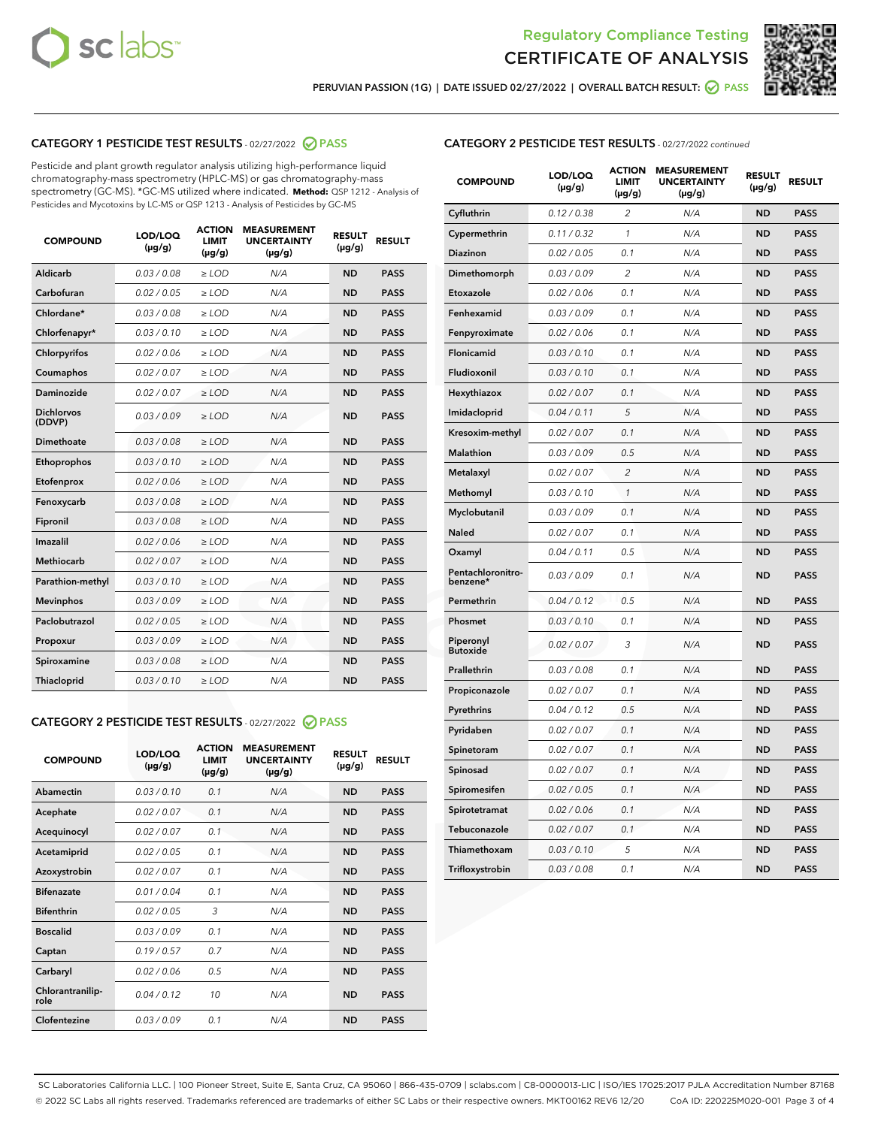



PERUVIAN PASSION (1G) | DATE ISSUED 02/27/2022 | OVERALL BATCH RESULT: @ PASS

#### CATEGORY 1 PESTICIDE TEST RESULTS - 02/27/2022 2 PASS

Pesticide and plant growth regulator analysis utilizing high-performance liquid chromatography-mass spectrometry (HPLC-MS) or gas chromatography-mass spectrometry (GC-MS). \*GC-MS utilized where indicated. **Method:** QSP 1212 - Analysis of Pesticides and Mycotoxins by LC-MS or QSP 1213 - Analysis of Pesticides by GC-MS

| 0.03 / 0.08<br><b>ND</b><br>Aldicarb<br>$\ge$ LOD<br>N/A<br><b>PASS</b><br>Carbofuran<br>0.02 / 0.05<br><b>ND</b><br><b>PASS</b><br>$>$ LOD<br>N/A<br>Chlordane*<br>0.03/0.08<br>N/A<br><b>ND</b><br><b>PASS</b><br>$\ge$ LOD<br>Chlorfenapyr*<br>0.03/0.10<br><b>ND</b><br><b>PASS</b><br>$\ge$ LOD<br>N/A<br>0.02/0.06<br>Chlorpyrifos<br>$>$ LOD<br>N/A<br><b>ND</b><br><b>PASS</b><br>0.02 / 0.07<br>N/A<br><b>ND</b><br>Coumaphos<br>$\ge$ LOD<br><b>PASS</b><br>Daminozide<br>0.02 / 0.07<br>N/A<br><b>ND</b><br><b>PASS</b><br>$\ge$ LOD<br><b>Dichlorvos</b><br>0.03/0.09<br>N/A<br><b>ND</b><br>$\ge$ LOD<br><b>PASS</b><br>(DDVP)<br>Dimethoate<br>0.03/0.08<br>N/A<br><b>ND</b><br><b>PASS</b><br>$>$ LOD<br>Ethoprophos<br>0.03/0.10<br>$\ge$ LOD<br>N/A<br><b>ND</b><br><b>PASS</b><br>Etofenprox<br>0.02 / 0.06<br>N/A<br><b>ND</b><br><b>PASS</b><br>$>$ LOD<br>0.03/0.08<br>N/A<br><b>ND</b><br>$>$ LOD<br><b>PASS</b><br>Fenoxycarb<br>0.03 / 0.08<br>$\ge$ LOD<br>N/A<br><b>ND</b><br><b>PASS</b><br>Fipronil<br>Imazalil<br>0.02/0.06<br>$>$ LOD<br>N/A<br><b>ND</b><br><b>PASS</b><br><b>Methiocarb</b><br>0.02 / 0.07<br><b>ND</b><br><b>PASS</b><br>$\ge$ LOD<br>N/A<br>Parathion-methyl<br>0.03/0.10<br>N/A<br><b>ND</b><br><b>PASS</b><br>$\ge$ LOD<br>0.03/0.09<br>N/A<br><b>ND</b><br><b>PASS</b><br><b>Mevinphos</b><br>$>$ LOD<br>Paclobutrazol<br>0.02 / 0.05<br>N/A<br><b>ND</b><br><b>PASS</b><br>$\geq$ LOD<br>0.03/0.09<br>$>$ LOD<br>N/A<br><b>ND</b><br><b>PASS</b><br>Propoxur<br>0.03 / 0.08<br>$\ge$ LOD<br>N/A<br><b>ND</b><br><b>PASS</b><br>Spiroxamine<br>0.03/0.10<br>N/A<br><b>ND</b><br><b>PASS</b><br>Thiacloprid<br>$\ge$ LOD | <b>COMPOUND</b> | LOD/LOQ<br>$(\mu g/g)$ | <b>ACTION</b><br>LIMIT<br>$(\mu g/g)$ | <b>MEASUREMENT</b><br><b>UNCERTAINTY</b><br>$(\mu g/g)$ | <b>RESULT</b><br>$(\mu g/g)$ | <b>RESULT</b> |
|------------------------------------------------------------------------------------------------------------------------------------------------------------------------------------------------------------------------------------------------------------------------------------------------------------------------------------------------------------------------------------------------------------------------------------------------------------------------------------------------------------------------------------------------------------------------------------------------------------------------------------------------------------------------------------------------------------------------------------------------------------------------------------------------------------------------------------------------------------------------------------------------------------------------------------------------------------------------------------------------------------------------------------------------------------------------------------------------------------------------------------------------------------------------------------------------------------------------------------------------------------------------------------------------------------------------------------------------------------------------------------------------------------------------------------------------------------------------------------------------------------------------------------------------------------------------------------------------------------------------------------------------------------------------------|-----------------|------------------------|---------------------------------------|---------------------------------------------------------|------------------------------|---------------|
|                                                                                                                                                                                                                                                                                                                                                                                                                                                                                                                                                                                                                                                                                                                                                                                                                                                                                                                                                                                                                                                                                                                                                                                                                                                                                                                                                                                                                                                                                                                                                                                                                                                                              |                 |                        |                                       |                                                         |                              |               |
|                                                                                                                                                                                                                                                                                                                                                                                                                                                                                                                                                                                                                                                                                                                                                                                                                                                                                                                                                                                                                                                                                                                                                                                                                                                                                                                                                                                                                                                                                                                                                                                                                                                                              |                 |                        |                                       |                                                         |                              |               |
|                                                                                                                                                                                                                                                                                                                                                                                                                                                                                                                                                                                                                                                                                                                                                                                                                                                                                                                                                                                                                                                                                                                                                                                                                                                                                                                                                                                                                                                                                                                                                                                                                                                                              |                 |                        |                                       |                                                         |                              |               |
|                                                                                                                                                                                                                                                                                                                                                                                                                                                                                                                                                                                                                                                                                                                                                                                                                                                                                                                                                                                                                                                                                                                                                                                                                                                                                                                                                                                                                                                                                                                                                                                                                                                                              |                 |                        |                                       |                                                         |                              |               |
|                                                                                                                                                                                                                                                                                                                                                                                                                                                                                                                                                                                                                                                                                                                                                                                                                                                                                                                                                                                                                                                                                                                                                                                                                                                                                                                                                                                                                                                                                                                                                                                                                                                                              |                 |                        |                                       |                                                         |                              |               |
|                                                                                                                                                                                                                                                                                                                                                                                                                                                                                                                                                                                                                                                                                                                                                                                                                                                                                                                                                                                                                                                                                                                                                                                                                                                                                                                                                                                                                                                                                                                                                                                                                                                                              |                 |                        |                                       |                                                         |                              |               |
|                                                                                                                                                                                                                                                                                                                                                                                                                                                                                                                                                                                                                                                                                                                                                                                                                                                                                                                                                                                                                                                                                                                                                                                                                                                                                                                                                                                                                                                                                                                                                                                                                                                                              |                 |                        |                                       |                                                         |                              |               |
|                                                                                                                                                                                                                                                                                                                                                                                                                                                                                                                                                                                                                                                                                                                                                                                                                                                                                                                                                                                                                                                                                                                                                                                                                                                                                                                                                                                                                                                                                                                                                                                                                                                                              |                 |                        |                                       |                                                         |                              |               |
|                                                                                                                                                                                                                                                                                                                                                                                                                                                                                                                                                                                                                                                                                                                                                                                                                                                                                                                                                                                                                                                                                                                                                                                                                                                                                                                                                                                                                                                                                                                                                                                                                                                                              |                 |                        |                                       |                                                         |                              |               |
|                                                                                                                                                                                                                                                                                                                                                                                                                                                                                                                                                                                                                                                                                                                                                                                                                                                                                                                                                                                                                                                                                                                                                                                                                                                                                                                                                                                                                                                                                                                                                                                                                                                                              |                 |                        |                                       |                                                         |                              |               |
|                                                                                                                                                                                                                                                                                                                                                                                                                                                                                                                                                                                                                                                                                                                                                                                                                                                                                                                                                                                                                                                                                                                                                                                                                                                                                                                                                                                                                                                                                                                                                                                                                                                                              |                 |                        |                                       |                                                         |                              |               |
|                                                                                                                                                                                                                                                                                                                                                                                                                                                                                                                                                                                                                                                                                                                                                                                                                                                                                                                                                                                                                                                                                                                                                                                                                                                                                                                                                                                                                                                                                                                                                                                                                                                                              |                 |                        |                                       |                                                         |                              |               |
|                                                                                                                                                                                                                                                                                                                                                                                                                                                                                                                                                                                                                                                                                                                                                                                                                                                                                                                                                                                                                                                                                                                                                                                                                                                                                                                                                                                                                                                                                                                                                                                                                                                                              |                 |                        |                                       |                                                         |                              |               |
|                                                                                                                                                                                                                                                                                                                                                                                                                                                                                                                                                                                                                                                                                                                                                                                                                                                                                                                                                                                                                                                                                                                                                                                                                                                                                                                                                                                                                                                                                                                                                                                                                                                                              |                 |                        |                                       |                                                         |                              |               |
|                                                                                                                                                                                                                                                                                                                                                                                                                                                                                                                                                                                                                                                                                                                                                                                                                                                                                                                                                                                                                                                                                                                                                                                                                                                                                                                                                                                                                                                                                                                                                                                                                                                                              |                 |                        |                                       |                                                         |                              |               |
|                                                                                                                                                                                                                                                                                                                                                                                                                                                                                                                                                                                                                                                                                                                                                                                                                                                                                                                                                                                                                                                                                                                                                                                                                                                                                                                                                                                                                                                                                                                                                                                                                                                                              |                 |                        |                                       |                                                         |                              |               |
|                                                                                                                                                                                                                                                                                                                                                                                                                                                                                                                                                                                                                                                                                                                                                                                                                                                                                                                                                                                                                                                                                                                                                                                                                                                                                                                                                                                                                                                                                                                                                                                                                                                                              |                 |                        |                                       |                                                         |                              |               |
|                                                                                                                                                                                                                                                                                                                                                                                                                                                                                                                                                                                                                                                                                                                                                                                                                                                                                                                                                                                                                                                                                                                                                                                                                                                                                                                                                                                                                                                                                                                                                                                                                                                                              |                 |                        |                                       |                                                         |                              |               |
|                                                                                                                                                                                                                                                                                                                                                                                                                                                                                                                                                                                                                                                                                                                                                                                                                                                                                                                                                                                                                                                                                                                                                                                                                                                                                                                                                                                                                                                                                                                                                                                                                                                                              |                 |                        |                                       |                                                         |                              |               |
|                                                                                                                                                                                                                                                                                                                                                                                                                                                                                                                                                                                                                                                                                                                                                                                                                                                                                                                                                                                                                                                                                                                                                                                                                                                                                                                                                                                                                                                                                                                                                                                                                                                                              |                 |                        |                                       |                                                         |                              |               |
|                                                                                                                                                                                                                                                                                                                                                                                                                                                                                                                                                                                                                                                                                                                                                                                                                                                                                                                                                                                                                                                                                                                                                                                                                                                                                                                                                                                                                                                                                                                                                                                                                                                                              |                 |                        |                                       |                                                         |                              |               |

#### CATEGORY 2 PESTICIDE TEST RESULTS - 02/27/2022 @ PASS

| <b>COMPOUND</b>          | LOD/LOO<br>$(\mu g/g)$ | <b>ACTION</b><br><b>LIMIT</b><br>(µg/g) | <b>MEASUREMENT</b><br><b>UNCERTAINTY</b><br>$(\mu g/g)$ | <b>RESULT</b><br>$(\mu g/g)$ | <b>RESULT</b> |  |
|--------------------------|------------------------|-----------------------------------------|---------------------------------------------------------|------------------------------|---------------|--|
| Abamectin                | 0.03/0.10              | 0.1                                     | N/A                                                     | <b>ND</b>                    | <b>PASS</b>   |  |
| Acephate                 | 0.02/0.07              | 0.1                                     | N/A                                                     | <b>ND</b>                    | <b>PASS</b>   |  |
| Acequinocyl              | 0.02/0.07              | 0.1                                     | N/A                                                     | <b>ND</b>                    | <b>PASS</b>   |  |
| Acetamiprid              | 0.02/0.05              | 0.1                                     | N/A                                                     | <b>ND</b>                    | <b>PASS</b>   |  |
| Azoxystrobin             | 0.02/0.07              | 0.1                                     | N/A                                                     | <b>ND</b>                    | <b>PASS</b>   |  |
| <b>Bifenazate</b>        | 0.01/0.04              | 0.1                                     | N/A                                                     | <b>ND</b>                    | <b>PASS</b>   |  |
| <b>Bifenthrin</b>        | 0.02/0.05              | 3                                       | N/A                                                     | <b>ND</b>                    | <b>PASS</b>   |  |
| <b>Boscalid</b>          | 0.03/0.09              | 0.1                                     | N/A                                                     | <b>ND</b>                    | <b>PASS</b>   |  |
| Captan                   | 0.19/0.57              | 0.7                                     | N/A                                                     | <b>ND</b>                    | <b>PASS</b>   |  |
| Carbaryl                 | 0.02/0.06              | 0.5                                     | N/A                                                     | <b>ND</b>                    | <b>PASS</b>   |  |
| Chlorantranilip-<br>role | 0.04/0.12              | 10                                      | N/A                                                     | <b>ND</b>                    | <b>PASS</b>   |  |
| Clofentezine             | 0.03/0.09              | 0.1                                     | N/A                                                     | <b>ND</b>                    | <b>PASS</b>   |  |

#### CATEGORY 2 PESTICIDE TEST RESULTS - 02/27/2022 continued

| <b>COMPOUND</b>               | LOD/LOQ<br>(µg/g) | <b>ACTION</b><br><b>LIMIT</b><br>(µg/g) | <b>MEASUREMENT</b><br><b>UNCERTAINTY</b><br>$(\mu g/g)$ | <b>RESULT</b><br>(µg/g) | <b>RESULT</b> |
|-------------------------------|-------------------|-----------------------------------------|---------------------------------------------------------|-------------------------|---------------|
| Cyfluthrin                    | 0.12 / 0.38       | $\overline{c}$                          | N/A                                                     | <b>ND</b>               | <b>PASS</b>   |
| Cypermethrin                  | 0.11 / 0.32       | $\mathcal{I}$                           | N/A                                                     | <b>ND</b>               | <b>PASS</b>   |
| <b>Diazinon</b>               | 0.02 / 0.05       | 0.1                                     | N/A                                                     | <b>ND</b>               | <b>PASS</b>   |
| Dimethomorph                  | 0.03 / 0.09       | 2                                       | N/A                                                     | <b>ND</b>               | <b>PASS</b>   |
| Etoxazole                     | 0.02 / 0.06       | 0.1                                     | N/A                                                     | <b>ND</b>               | <b>PASS</b>   |
| Fenhexamid                    | 0.03 / 0.09       | 0.1                                     | N/A                                                     | <b>ND</b>               | <b>PASS</b>   |
| Fenpyroximate                 | 0.02 / 0.06       | 0.1                                     | N/A                                                     | <b>ND</b>               | <b>PASS</b>   |
| Flonicamid                    | 0.03 / 0.10       | 0.1                                     | N/A                                                     | <b>ND</b>               | <b>PASS</b>   |
| Fludioxonil                   | 0.03 / 0.10       | 0.1                                     | N/A                                                     | <b>ND</b>               | <b>PASS</b>   |
| Hexythiazox                   | 0.02 / 0.07       | 0.1                                     | N/A                                                     | <b>ND</b>               | <b>PASS</b>   |
| Imidacloprid                  | 0.04 / 0.11       | 5                                       | N/A                                                     | <b>ND</b>               | <b>PASS</b>   |
| Kresoxim-methyl               | 0.02 / 0.07       | 0.1                                     | N/A                                                     | <b>ND</b>               | <b>PASS</b>   |
| <b>Malathion</b>              | 0.03 / 0.09       | 0.5                                     | N/A                                                     | <b>ND</b>               | <b>PASS</b>   |
| Metalaxyl                     | 0.02 / 0.07       | $\overline{c}$                          | N/A                                                     | <b>ND</b>               | <b>PASS</b>   |
| Methomyl                      | 0.03 / 0.10       | 1                                       | N/A                                                     | <b>ND</b>               | <b>PASS</b>   |
| Myclobutanil                  | 0.03 / 0.09       | 0.1                                     | N/A                                                     | <b>ND</b>               | <b>PASS</b>   |
| <b>Naled</b>                  | 0.02 / 0.07       | 0.1                                     | N/A                                                     | <b>ND</b>               | <b>PASS</b>   |
| Oxamyl                        | 0.04 / 0.11       | 0.5                                     | N/A                                                     | <b>ND</b>               | <b>PASS</b>   |
| Pentachloronitro-<br>benzene* | 0.03 / 0.09       | 0.1                                     | N/A                                                     | <b>ND</b>               | <b>PASS</b>   |
| Permethrin                    | 0.04 / 0.12       | 0.5                                     | N/A                                                     | <b>ND</b>               | <b>PASS</b>   |
| Phosmet                       | 0.03 / 0.10       | 0.1                                     | N/A                                                     | <b>ND</b>               | <b>PASS</b>   |
| Piperonyl<br><b>Butoxide</b>  | 0.02 / 0.07       | 3                                       | N/A                                                     | <b>ND</b>               | <b>PASS</b>   |
| Prallethrin                   | 0.03 / 0.08       | 0.1                                     | N/A                                                     | <b>ND</b>               | <b>PASS</b>   |
| Propiconazole                 | 0.02 / 0.07       | 0.1                                     | N/A                                                     | <b>ND</b>               | <b>PASS</b>   |
| Pyrethrins                    | 0.04 / 0.12       | 0.5                                     | N/A                                                     | <b>ND</b>               | <b>PASS</b>   |
| Pyridaben                     | 0.02 / 0.07       | 0.1                                     | N/A                                                     | <b>ND</b>               | <b>PASS</b>   |
| Spinetoram                    | 0.02 / 0.07       | 0.1                                     | N/A                                                     | <b>ND</b>               | <b>PASS</b>   |
| Spinosad                      | 0.02 / 0.07       | 0.1                                     | N/A                                                     | <b>ND</b>               | <b>PASS</b>   |
| Spiromesifen                  | 0.02 / 0.05       | 0.1                                     | N/A                                                     | <b>ND</b>               | <b>PASS</b>   |
| Spirotetramat                 | 0.02 / 0.06       | 0.1                                     | N/A                                                     | <b>ND</b>               | <b>PASS</b>   |
| Tebuconazole                  | 0.02 / 0.07       | 0.1                                     | N/A                                                     | <b>ND</b>               | <b>PASS</b>   |
| Thiamethoxam                  | 0.03 / 0.10       | 5                                       | N/A                                                     | <b>ND</b>               | <b>PASS</b>   |
| Trifloxystrobin               | 0.03 / 0.08       | 0.1                                     | N/A                                                     | <b>ND</b>               | <b>PASS</b>   |

SC Laboratories California LLC. | 100 Pioneer Street, Suite E, Santa Cruz, CA 95060 | 866-435-0709 | sclabs.com | C8-0000013-LIC | ISO/IES 17025:2017 PJLA Accreditation Number 87168 © 2022 SC Labs all rights reserved. Trademarks referenced are trademarks of either SC Labs or their respective owners. MKT00162 REV6 12/20 CoA ID: 220225M020-001 Page 3 of 4